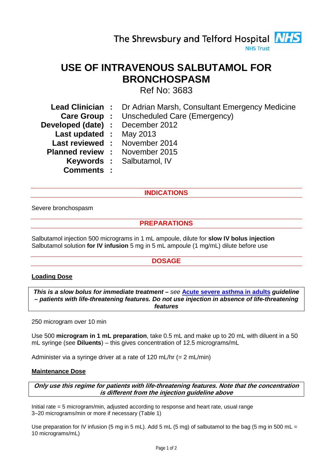# **USE OF INTRAVENOUS SALBUTAMOL FOR BRONCHOSPASM**

Ref No: 3683

- **Lead Clinician :** Dr Adrian Marsh, Consultant Emergency Medicine
	- **Care Group :** Unscheduled Care (Emergency)
- **Developed (date) :** December 2012
	- **Last updated :** May 2013
- **Last reviewed :** November 2014
- **Planned review :** November 2015
	- **Keywords :** Salbutamol, IV
	- **Comments :**

## **INDICATIONS**

Severe bronchospasm

## **PREPARATIONS**

Salbutamol injection 500 micrograms in 1 mL ampoule, dilute for **slow IV bolus injection** Salbutamol solution **for IV infusion** 5 mg in 5 mL ampoule (1 mg/mL) dilute before use

## **DOSAGE**

### **Loading Dose**

*This is a slow bolus for immediate treatment – see* **Acute severe asthma in adults** *guideline – patients with life-threatening features. Do not use injection in absence of life-threatening features*

250 microgram over 10 min

Use 500 **microgram in 1 mL preparation**, take 0.5 mL and make up to 20 mL with diluent in a 50 mL syringe (see **Diluents**) – this gives concentration of 12.5 micrograms/mL

Administer via a syringe driver at a rate of 120 mL/hr (= 2 mL/min)

### **Maintenance Dose**

**Only use this regime for patients with life-threatening features. Note that the concentration is different from the injection guideline above**

Initial rate = 5 microgram/min, adjusted according to response and heart rate, usual range 3–20 micrograms/min or more if necessary (Table 1)

Use preparation for IV infusion (5 mg in 5 mL). Add 5 mL (5 mg) of salbutamol to the bag (5 mg in 500 mL = 10 micrograms/mL)